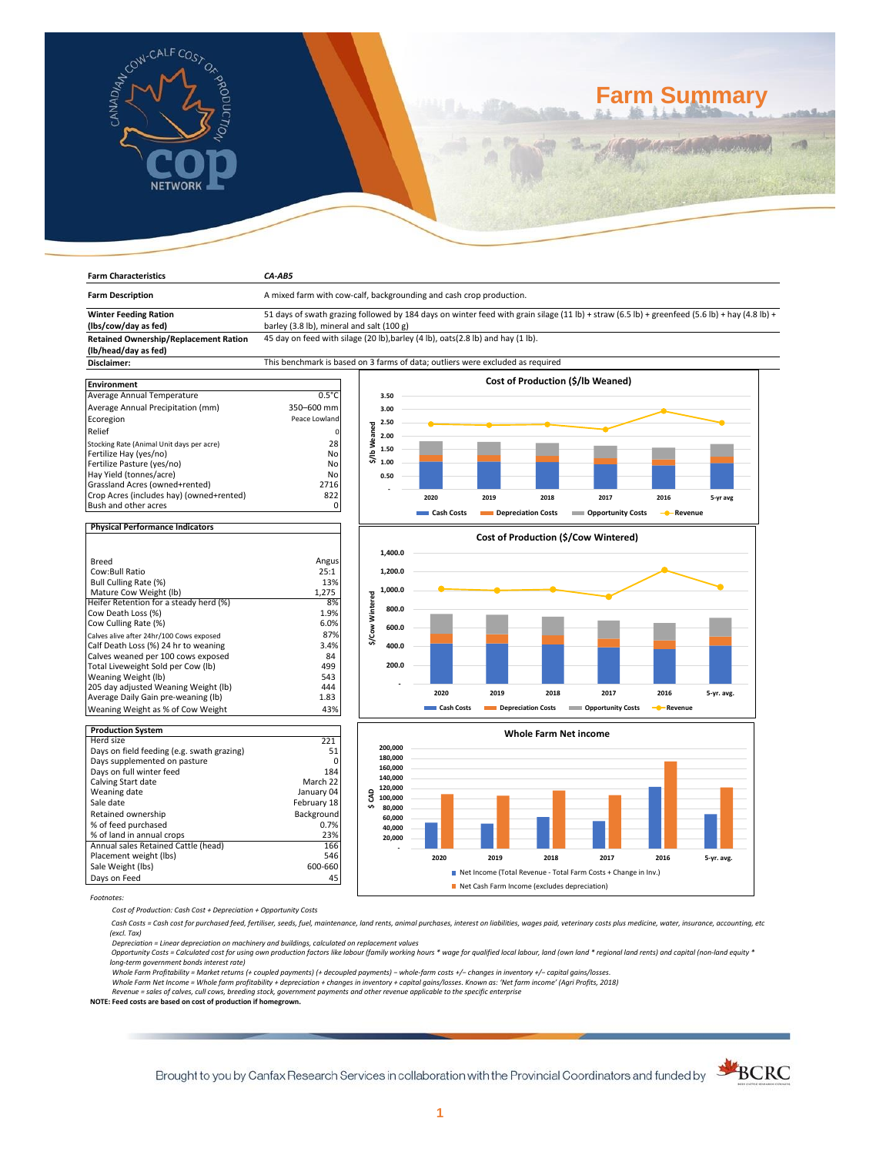

**Farm Characteristics** *CA-AB5*

# **Farm Summary**

| <b>Farm Description</b>                                  | A mixed farm with cow-calf, backgrounding and cash crop production.                                                                           |                 |         |            |                    |                              |                                      |           |            |
|----------------------------------------------------------|-----------------------------------------------------------------------------------------------------------------------------------------------|-----------------|---------|------------|--------------------|------------------------------|--------------------------------------|-----------|------------|
| <b>Winter Feeding Ration</b>                             | 51 days of swath grazing followed by 184 days on winter feed with grain silage (11 lb) + straw (6.5 lb) + greenfeed (5.6 lb) + hay (4.8 lb) + |                 |         |            |                    |                              |                                      |           |            |
| (lbs/cow/day as fed)                                     | barley (3.8 lb), mineral and salt (100 g)                                                                                                     |                 |         |            |                    |                              |                                      |           |            |
| <b>Retained Ownership/Replacement Ration</b>             | 45 day on feed with silage (20 lb), barley (4 lb), oats (2.8 lb) and hay (1 lb).                                                              |                 |         |            |                    |                              |                                      |           |            |
| (lb/head/day as fed)                                     |                                                                                                                                               |                 |         |            |                    |                              |                                      |           |            |
| Disclaimer:                                              | This benchmark is based on 3 farms of data; outliers were excluded as required                                                                |                 |         |            |                    |                              |                                      |           |            |
| <b>Environment</b>                                       |                                                                                                                                               |                 |         |            |                    |                              | Cost of Production (\$/lb Weaned)    |           |            |
| Average Annual Temperature                               | $0.5^{\circ}$ C                                                                                                                               |                 | 3.50    |            |                    |                              |                                      |           |            |
| Average Annual Precipitation (mm)                        | 350-600 mm                                                                                                                                    |                 | 3.00    |            |                    |                              |                                      |           |            |
| Ecoregion                                                | Peace Lowland                                                                                                                                 |                 |         |            |                    |                              |                                      |           |            |
|                                                          |                                                                                                                                               | \$/Ib Weaned    | 2.50    |            |                    |                              |                                      |           |            |
| Relief                                                   |                                                                                                                                               |                 | 2.00    |            |                    |                              |                                      |           |            |
| Stocking Rate (Animal Unit days per acre)                | 28                                                                                                                                            |                 | 1.50    |            |                    |                              |                                      |           |            |
| Fertilize Hay (yes/no)                                   | No                                                                                                                                            |                 | 1.00    |            |                    |                              |                                      |           |            |
| Fertilize Pasture (yes/no)<br>Hay Yield (tonnes/acre)    | No<br>No                                                                                                                                      |                 |         |            |                    |                              |                                      |           |            |
| Grassland Acres (owned+rented)                           | 2716                                                                                                                                          |                 | 0.50    |            |                    |                              |                                      |           |            |
| Crop Acres (includes hay) (owned+rented)                 | 822                                                                                                                                           |                 |         |            |                    |                              |                                      |           |            |
| Bush and other acres                                     | 0                                                                                                                                             |                 |         | 2020       | 2019               | 2018                         | 2017                                 | 2016      | 5-yr avg   |
|                                                          |                                                                                                                                               |                 |         | Cash Costs | Depreciation Costs |                              | Opportunity Costs                    | - Revenue |            |
| <b>Physical Performance Indicators</b>                   |                                                                                                                                               |                 |         |            |                    |                              |                                      |           |            |
|                                                          |                                                                                                                                               |                 |         |            |                    |                              | Cost of Production (\$/Cow Wintered) |           |            |
|                                                          |                                                                                                                                               |                 | 1,400.0 |            |                    |                              |                                      |           |            |
| Breed                                                    | Angus                                                                                                                                         |                 |         |            |                    |                              |                                      |           |            |
| Cow:Bull Ratio                                           | 25:1                                                                                                                                          |                 | 1,200.0 |            |                    |                              |                                      |           |            |
| Bull Culling Rate (%)<br>Mature Cow Weight (lb)          | 13%<br>1,275                                                                                                                                  |                 | 1,000.0 |            |                    |                              |                                      |           |            |
| Heifer Retention for a steady herd (%)                   | 8%                                                                                                                                            | \$/Cow Wintered |         |            |                    |                              |                                      |           |            |
| Cow Death Loss (%)                                       | 1.9%                                                                                                                                          |                 | 800.0   |            |                    |                              |                                      |           |            |
| Cow Culling Rate (%)                                     | 6.0%                                                                                                                                          |                 |         |            |                    |                              |                                      |           |            |
| Calves alive after 24hr/100 Cows exposed                 | 87%                                                                                                                                           |                 | 600.0   |            |                    |                              |                                      |           |            |
| Calf Death Loss (%) 24 hr to weaning                     | 3.4%                                                                                                                                          |                 | 400.0   |            |                    |                              |                                      |           |            |
| Calves weaned per 100 cows exposed                       | 84                                                                                                                                            |                 |         |            |                    |                              |                                      |           |            |
| Total Liveweight Sold per Cow (lb)                       | 499                                                                                                                                           |                 | 200.0   |            |                    |                              |                                      |           |            |
| Weaning Weight (lb)                                      | 543                                                                                                                                           |                 |         |            |                    |                              |                                      |           |            |
| 205 day adjusted Weaning Weight (lb)                     | 444                                                                                                                                           |                 |         |            |                    |                              |                                      |           |            |
| Average Daily Gain pre-weaning (lb)                      | 1.83                                                                                                                                          |                 |         | 2020       | 2019               | 2018                         | 2017                                 | 2016      | 5-yr. avg. |
| Weaning Weight as % of Cow Weight                        | 43%                                                                                                                                           |                 |         | Cash Costs |                    | Depreciation Costs           | <b>Copportunity Costs</b>            | - Revenue |            |
|                                                          |                                                                                                                                               |                 |         |            |                    |                              |                                      |           |            |
| <b>Production System</b>                                 |                                                                                                                                               |                 |         |            |                    | <b>Whole Farm Net income</b> |                                      |           |            |
| Herd size                                                | 221                                                                                                                                           |                 | 200,000 |            |                    |                              |                                      |           |            |
| Days on field feeding (e.g. swath grazing)               | 51<br>$\Omega$                                                                                                                                |                 | 180,000 |            |                    |                              |                                      |           |            |
| Days supplemented on pasture<br>Days on full winter feed | 184                                                                                                                                           |                 | 160,000 |            |                    |                              |                                      |           |            |
| Calving Start date                                       | March 22                                                                                                                                      |                 | 140,000 |            |                    |                              |                                      |           |            |
| Meaning date                                             | January 04                                                                                                                                    | $\sim$          | 120,000 |            |                    |                              |                                      |           |            |

**Pr**<br> **Pr**<br>
Da<br>
Da<br>
Da<br>
Cal<br>
We Days on field feeding (e.g. swath grazing) 51 Days supplemented on pasture 0 Days on full winter feed 184 Calving Start date March 22 Weaning date **Value 2018** January 04 Sale date<br>
Retained ownership<br>
Retained ownership<br>
Sackground Retained ownership Background % of feed purchased 0.7% % of land in annual crops 23% Annual sales Retained Cattle (head) 166 Placement weight (lbs) 546 Sale Weight (lbs) 600-660 Days on Feed 45



Net Cash Farm Income (excludes depreciation)

*Footnotes:*

*Cost of Production: Cash Cost + Depreciation + Opportunity Costs*

 *Cash Costs = Cash cost for purchased feed, fertiliser, seeds, fuel, maintenance, land rents, animal purchases, interest on liabilities, wages paid, veterinary costs plus medicine, water, insurance, accounting, etc (excl. Tax)* 

Depreciation = Linear depreciation on machinery and buildings, calculated on replacement values<br>Opportunity Costs = Calculated cost for using own production factors like labour (family working hours \* wage for qualified lo *long-term government bonds interest rate)* 

Whole Farm Profitability = Market returns (+ coupled payments) (+ decoupled payments) – whole-farm costs +/– changes in inventory +/– capital gains/losses.<br>Whole Farm Net Income = Whole farm profitability + depreciation +

*Revenue = sales of calves, cull cows, breeding stock, government payments and other revenue applicable to the specific enterprise* **NOTE: Feed costs are based on cost of production if homegrown.**

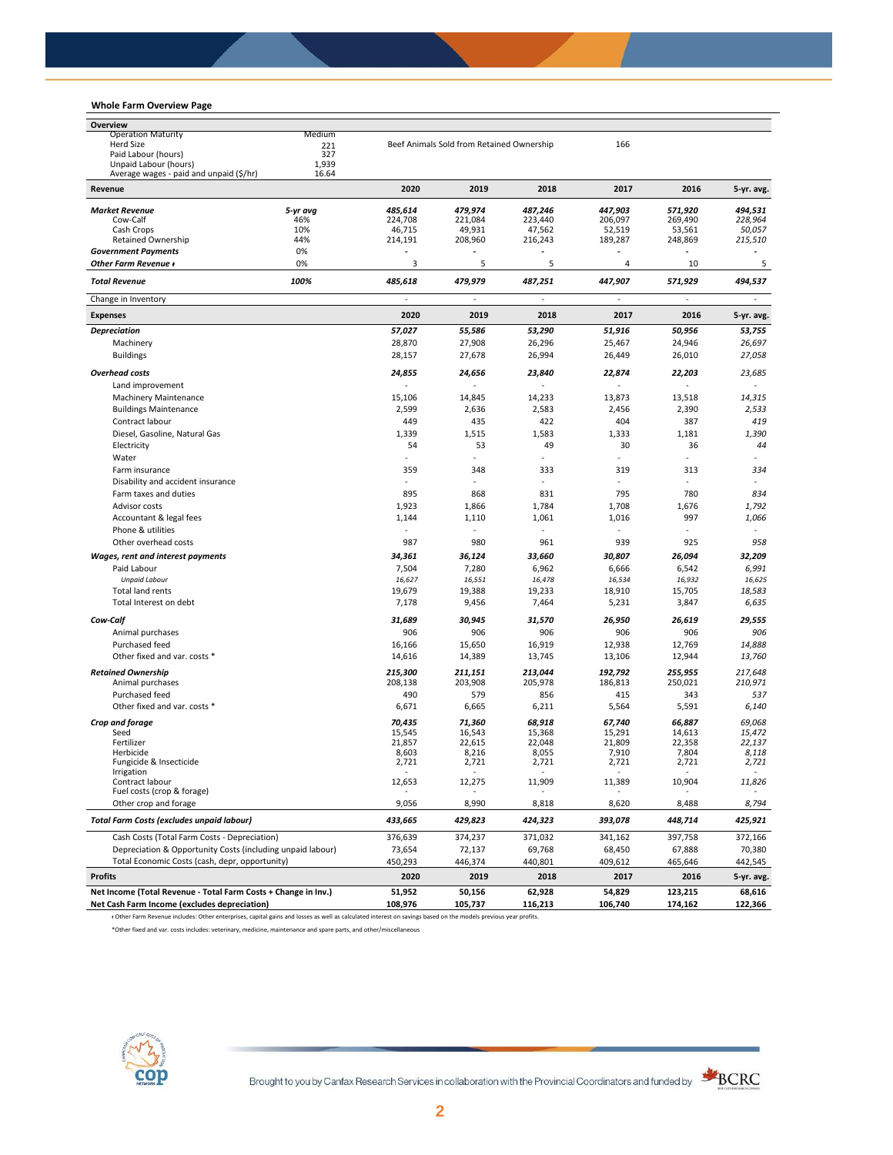## **Whole Farm Overview Page**

| <b>Operation Maturity</b><br>Medium<br><b>Herd Size</b><br>Beef Animals Sold from Retained Ownership<br>166<br>221<br>Paid Labour (hours)<br>327<br>Unpaid Labour (hours)<br>1,939<br>Average wages - paid and unpaid (\$/hr)<br>16.64<br>Revenue<br>2020<br>2019<br>2018<br>2017<br>2016<br>5-yr avg<br>485,614<br>479,974<br>487.246<br>447,903<br>571,920<br><b>Market Revenue</b><br>206,097<br>Cow-Calf<br>46%<br>224,708<br>221,084<br>223,440<br>269,490<br>Cash Crops<br>10%<br>46,715<br>49,931<br>47,562<br>53,561<br>52,519<br><b>Retained Ownership</b><br>44%<br>214,191<br>208,960<br>216,243<br>189,287<br>248,869<br><b>Government Payments</b><br>0%<br>0%<br>Other Farm Revenue +<br>3<br>5<br>5<br>4<br>10<br>100%<br>479,979<br>447,907<br><b>Total Revenue</b><br>485,618<br>487,251<br>571,929<br>Change in Inventory<br>$\sim$<br>÷,<br>2020<br>2019<br>2018<br>2017<br>2016<br><b>Expenses</b><br>55,586<br>51,916<br>50,956<br><b>Depreciation</b><br>57,027<br>53,290<br>28,870<br>27,908<br>26,296<br>25,467<br>24,946<br>Machinery<br><b>Buildings</b><br>28,157<br>27,678<br>26,994<br>26,449<br>26,010<br><b>Overhead costs</b><br>24,855<br>24,656<br>23,840<br>22,874<br>22,203<br>Land improvement<br><b>Machinery Maintenance</b><br>15,106<br>14,845<br>14,233<br>13,873<br>13,518<br>2,599<br>2,583<br>2,390<br><b>Buildings Maintenance</b><br>2,636<br>2,456<br>Contract labour<br>449<br>435<br>422<br>404<br>387<br>Diesel, Gasoline, Natural Gas<br>1,339<br>1,515<br>1,583<br>1,333<br>1,181<br>49<br>Electricity<br>54<br>53<br>30<br>36<br>Water<br>359<br>348<br>333<br>319<br>313<br>Farm insurance<br>Disability and accident insurance<br>895<br>868<br>831<br>795<br>780<br>Farm taxes and duties<br>Advisor costs<br>1,923<br>1,866<br>1,784<br>1,708<br>1,676<br>1,061<br>997<br>1,144<br>1,110<br>1,016<br>Accountant & legal fees<br>Phone & utilities<br>987<br>980<br>961<br>925<br>Other overhead costs<br>939<br>Wages, rent and interest payments<br>34,361<br>36,124<br>33,660<br>30,807<br>26,094<br>7,504<br>7,280<br>Paid Labour<br>6,962<br>6,666<br>6,542<br><b>Unpaid Labour</b><br>16,627<br>16,551<br>16,478<br>16,534<br>16,932<br>15,705<br><b>Total land rents</b><br>19,679<br>19,388<br>19,233<br>18,910<br>Total Interest on debt<br>7,178<br>9,456<br>7,464<br>5,231<br>3,847<br>Cow-Calf<br>31,689<br>30,945<br>31,570<br>26,950<br>26,619<br>906<br>906<br>906<br>906<br>906<br>Animal purchases<br>16,919<br>Purchased feed<br>16,166<br>15,650<br>12,938<br>12,769<br>Other fixed and var. costs *<br>14,616<br>14,389<br>13,745<br>13,106<br>12,944<br><b>Retained Ownership</b><br>215,300<br>211,151<br>213,044<br>192,792<br>255,955<br>Animal purchases<br>208,138<br>203,908<br>205,978<br>186,813<br>250,021<br>Purchased feed<br>490<br>579<br>856<br>415<br>343<br>Other fixed and var. costs *<br>5,564<br>6,671<br>6,665<br>6,211<br>5,591<br>Crop and forage<br>70,435<br>71,360<br>68,918<br>67,740<br>66,887<br>Seed<br>15,545<br>15,291<br>14,613<br>16,543<br>15,368<br>Fertilizer<br>21,857<br>22,615<br>22,048<br>21,809<br>22,358<br>8,603<br>8,216<br>8,055<br>7,910<br>7,804<br>Herbicide<br>2,721<br>2,721<br>2,721<br>Fungicide & Insecticide<br>2,721<br>2,721<br><b>Irrigation</b><br>Contract labour<br>12,653<br>12,275<br>11,909<br>11,389<br>10,904<br>Fuel costs (crop & forage)<br>Other crop and forage<br>9,056<br>8,990<br>8,818<br>8,620<br>8,488<br><b>Total Farm Costs (excludes unpaid labour)</b><br>429,823<br>424,323<br>393,078<br>448,714<br>433,665<br>Cash Costs (Total Farm Costs - Depreciation)<br>376,639<br>374,237<br>371,032<br>341,162<br>397,758<br>Depreciation & Opportunity Costs (including unpaid labour)<br>73,654<br>72,137<br>69,768<br>68,450<br>67,888<br>Total Economic Costs (cash, depr, opportunity)<br>450,293<br>446,374<br>440,801<br>409,612<br>465,646<br><b>Profits</b><br>2020<br>2019<br>2018<br>2017<br>2016<br>Net Income (Total Revenue - Total Farm Costs + Change in Inv.)<br>51,952<br>50,156<br>62,928<br>54,829<br>123,215 | Overview |  |  |  |            |
|----------------------------------------------------------------------------------------------------------------------------------------------------------------------------------------------------------------------------------------------------------------------------------------------------------------------------------------------------------------------------------------------------------------------------------------------------------------------------------------------------------------------------------------------------------------------------------------------------------------------------------------------------------------------------------------------------------------------------------------------------------------------------------------------------------------------------------------------------------------------------------------------------------------------------------------------------------------------------------------------------------------------------------------------------------------------------------------------------------------------------------------------------------------------------------------------------------------------------------------------------------------------------------------------------------------------------------------------------------------------------------------------------------------------------------------------------------------------------------------------------------------------------------------------------------------------------------------------------------------------------------------------------------------------------------------------------------------------------------------------------------------------------------------------------------------------------------------------------------------------------------------------------------------------------------------------------------------------------------------------------------------------------------------------------------------------------------------------------------------------------------------------------------------------------------------------------------------------------------------------------------------------------------------------------------------------------------------------------------------------------------------------------------------------------------------------------------------------------------------------------------------------------------------------------------------------------------------------------------------------------------------------------------------------------------------------------------------------------------------------------------------------------------------------------------------------------------------------------------------------------------------------------------------------------------------------------------------------------------------------------------------------------------------------------------------------------------------------------------------------------------------------------------------------------------------------------------------------------------------------------------------------------------------------------------------------------------------------------------------------------------------------------------------------------------------------------------------------------------------------------------------------------------------------------------------------------------------------------------------------------------------------------------------------------------------------------------------------------------------------------------------------------------------------------------------------------------------------------------------------------------------------------------------------------------------------------------------------------------------------------------------------------------------------------------------------------------------------|----------|--|--|--|------------|
|                                                                                                                                                                                                                                                                                                                                                                                                                                                                                                                                                                                                                                                                                                                                                                                                                                                                                                                                                                                                                                                                                                                                                                                                                                                                                                                                                                                                                                                                                                                                                                                                                                                                                                                                                                                                                                                                                                                                                                                                                                                                                                                                                                                                                                                                                                                                                                                                                                                                                                                                                                                                                                                                                                                                                                                                                                                                                                                                                                                                                                                                                                                                                                                                                                                                                                                                                                                                                                                                                                                                                                                                                                                                                                                                                                                                                                                                                                                                                                                                                                                                                              |          |  |  |  |            |
|                                                                                                                                                                                                                                                                                                                                                                                                                                                                                                                                                                                                                                                                                                                                                                                                                                                                                                                                                                                                                                                                                                                                                                                                                                                                                                                                                                                                                                                                                                                                                                                                                                                                                                                                                                                                                                                                                                                                                                                                                                                                                                                                                                                                                                                                                                                                                                                                                                                                                                                                                                                                                                                                                                                                                                                                                                                                                                                                                                                                                                                                                                                                                                                                                                                                                                                                                                                                                                                                                                                                                                                                                                                                                                                                                                                                                                                                                                                                                                                                                                                                                              |          |  |  |  |            |
|                                                                                                                                                                                                                                                                                                                                                                                                                                                                                                                                                                                                                                                                                                                                                                                                                                                                                                                                                                                                                                                                                                                                                                                                                                                                                                                                                                                                                                                                                                                                                                                                                                                                                                                                                                                                                                                                                                                                                                                                                                                                                                                                                                                                                                                                                                                                                                                                                                                                                                                                                                                                                                                                                                                                                                                                                                                                                                                                                                                                                                                                                                                                                                                                                                                                                                                                                                                                                                                                                                                                                                                                                                                                                                                                                                                                                                                                                                                                                                                                                                                                                              |          |  |  |  |            |
|                                                                                                                                                                                                                                                                                                                                                                                                                                                                                                                                                                                                                                                                                                                                                                                                                                                                                                                                                                                                                                                                                                                                                                                                                                                                                                                                                                                                                                                                                                                                                                                                                                                                                                                                                                                                                                                                                                                                                                                                                                                                                                                                                                                                                                                                                                                                                                                                                                                                                                                                                                                                                                                                                                                                                                                                                                                                                                                                                                                                                                                                                                                                                                                                                                                                                                                                                                                                                                                                                                                                                                                                                                                                                                                                                                                                                                                                                                                                                                                                                                                                                              |          |  |  |  |            |
|                                                                                                                                                                                                                                                                                                                                                                                                                                                                                                                                                                                                                                                                                                                                                                                                                                                                                                                                                                                                                                                                                                                                                                                                                                                                                                                                                                                                                                                                                                                                                                                                                                                                                                                                                                                                                                                                                                                                                                                                                                                                                                                                                                                                                                                                                                                                                                                                                                                                                                                                                                                                                                                                                                                                                                                                                                                                                                                                                                                                                                                                                                                                                                                                                                                                                                                                                                                                                                                                                                                                                                                                                                                                                                                                                                                                                                                                                                                                                                                                                                                                                              |          |  |  |  |            |
|                                                                                                                                                                                                                                                                                                                                                                                                                                                                                                                                                                                                                                                                                                                                                                                                                                                                                                                                                                                                                                                                                                                                                                                                                                                                                                                                                                                                                                                                                                                                                                                                                                                                                                                                                                                                                                                                                                                                                                                                                                                                                                                                                                                                                                                                                                                                                                                                                                                                                                                                                                                                                                                                                                                                                                                                                                                                                                                                                                                                                                                                                                                                                                                                                                                                                                                                                                                                                                                                                                                                                                                                                                                                                                                                                                                                                                                                                                                                                                                                                                                                                              |          |  |  |  | 5-yr. avg. |
|                                                                                                                                                                                                                                                                                                                                                                                                                                                                                                                                                                                                                                                                                                                                                                                                                                                                                                                                                                                                                                                                                                                                                                                                                                                                                                                                                                                                                                                                                                                                                                                                                                                                                                                                                                                                                                                                                                                                                                                                                                                                                                                                                                                                                                                                                                                                                                                                                                                                                                                                                                                                                                                                                                                                                                                                                                                                                                                                                                                                                                                                                                                                                                                                                                                                                                                                                                                                                                                                                                                                                                                                                                                                                                                                                                                                                                                                                                                                                                                                                                                                                              |          |  |  |  | 494,531    |
|                                                                                                                                                                                                                                                                                                                                                                                                                                                                                                                                                                                                                                                                                                                                                                                                                                                                                                                                                                                                                                                                                                                                                                                                                                                                                                                                                                                                                                                                                                                                                                                                                                                                                                                                                                                                                                                                                                                                                                                                                                                                                                                                                                                                                                                                                                                                                                                                                                                                                                                                                                                                                                                                                                                                                                                                                                                                                                                                                                                                                                                                                                                                                                                                                                                                                                                                                                                                                                                                                                                                                                                                                                                                                                                                                                                                                                                                                                                                                                                                                                                                                              |          |  |  |  | 228,964    |
|                                                                                                                                                                                                                                                                                                                                                                                                                                                                                                                                                                                                                                                                                                                                                                                                                                                                                                                                                                                                                                                                                                                                                                                                                                                                                                                                                                                                                                                                                                                                                                                                                                                                                                                                                                                                                                                                                                                                                                                                                                                                                                                                                                                                                                                                                                                                                                                                                                                                                                                                                                                                                                                                                                                                                                                                                                                                                                                                                                                                                                                                                                                                                                                                                                                                                                                                                                                                                                                                                                                                                                                                                                                                                                                                                                                                                                                                                                                                                                                                                                                                                              |          |  |  |  | 50,057     |
|                                                                                                                                                                                                                                                                                                                                                                                                                                                                                                                                                                                                                                                                                                                                                                                                                                                                                                                                                                                                                                                                                                                                                                                                                                                                                                                                                                                                                                                                                                                                                                                                                                                                                                                                                                                                                                                                                                                                                                                                                                                                                                                                                                                                                                                                                                                                                                                                                                                                                                                                                                                                                                                                                                                                                                                                                                                                                                                                                                                                                                                                                                                                                                                                                                                                                                                                                                                                                                                                                                                                                                                                                                                                                                                                                                                                                                                                                                                                                                                                                                                                                              |          |  |  |  | 215,510    |
|                                                                                                                                                                                                                                                                                                                                                                                                                                                                                                                                                                                                                                                                                                                                                                                                                                                                                                                                                                                                                                                                                                                                                                                                                                                                                                                                                                                                                                                                                                                                                                                                                                                                                                                                                                                                                                                                                                                                                                                                                                                                                                                                                                                                                                                                                                                                                                                                                                                                                                                                                                                                                                                                                                                                                                                                                                                                                                                                                                                                                                                                                                                                                                                                                                                                                                                                                                                                                                                                                                                                                                                                                                                                                                                                                                                                                                                                                                                                                                                                                                                                                              |          |  |  |  |            |
|                                                                                                                                                                                                                                                                                                                                                                                                                                                                                                                                                                                                                                                                                                                                                                                                                                                                                                                                                                                                                                                                                                                                                                                                                                                                                                                                                                                                                                                                                                                                                                                                                                                                                                                                                                                                                                                                                                                                                                                                                                                                                                                                                                                                                                                                                                                                                                                                                                                                                                                                                                                                                                                                                                                                                                                                                                                                                                                                                                                                                                                                                                                                                                                                                                                                                                                                                                                                                                                                                                                                                                                                                                                                                                                                                                                                                                                                                                                                                                                                                                                                                              |          |  |  |  | 5          |
|                                                                                                                                                                                                                                                                                                                                                                                                                                                                                                                                                                                                                                                                                                                                                                                                                                                                                                                                                                                                                                                                                                                                                                                                                                                                                                                                                                                                                                                                                                                                                                                                                                                                                                                                                                                                                                                                                                                                                                                                                                                                                                                                                                                                                                                                                                                                                                                                                                                                                                                                                                                                                                                                                                                                                                                                                                                                                                                                                                                                                                                                                                                                                                                                                                                                                                                                                                                                                                                                                                                                                                                                                                                                                                                                                                                                                                                                                                                                                                                                                                                                                              |          |  |  |  | 494,537    |
|                                                                                                                                                                                                                                                                                                                                                                                                                                                                                                                                                                                                                                                                                                                                                                                                                                                                                                                                                                                                                                                                                                                                                                                                                                                                                                                                                                                                                                                                                                                                                                                                                                                                                                                                                                                                                                                                                                                                                                                                                                                                                                                                                                                                                                                                                                                                                                                                                                                                                                                                                                                                                                                                                                                                                                                                                                                                                                                                                                                                                                                                                                                                                                                                                                                                                                                                                                                                                                                                                                                                                                                                                                                                                                                                                                                                                                                                                                                                                                                                                                                                                              |          |  |  |  |            |
|                                                                                                                                                                                                                                                                                                                                                                                                                                                                                                                                                                                                                                                                                                                                                                                                                                                                                                                                                                                                                                                                                                                                                                                                                                                                                                                                                                                                                                                                                                                                                                                                                                                                                                                                                                                                                                                                                                                                                                                                                                                                                                                                                                                                                                                                                                                                                                                                                                                                                                                                                                                                                                                                                                                                                                                                                                                                                                                                                                                                                                                                                                                                                                                                                                                                                                                                                                                                                                                                                                                                                                                                                                                                                                                                                                                                                                                                                                                                                                                                                                                                                              |          |  |  |  | 5-yr. avg. |
|                                                                                                                                                                                                                                                                                                                                                                                                                                                                                                                                                                                                                                                                                                                                                                                                                                                                                                                                                                                                                                                                                                                                                                                                                                                                                                                                                                                                                                                                                                                                                                                                                                                                                                                                                                                                                                                                                                                                                                                                                                                                                                                                                                                                                                                                                                                                                                                                                                                                                                                                                                                                                                                                                                                                                                                                                                                                                                                                                                                                                                                                                                                                                                                                                                                                                                                                                                                                                                                                                                                                                                                                                                                                                                                                                                                                                                                                                                                                                                                                                                                                                              |          |  |  |  | 53,755     |
|                                                                                                                                                                                                                                                                                                                                                                                                                                                                                                                                                                                                                                                                                                                                                                                                                                                                                                                                                                                                                                                                                                                                                                                                                                                                                                                                                                                                                                                                                                                                                                                                                                                                                                                                                                                                                                                                                                                                                                                                                                                                                                                                                                                                                                                                                                                                                                                                                                                                                                                                                                                                                                                                                                                                                                                                                                                                                                                                                                                                                                                                                                                                                                                                                                                                                                                                                                                                                                                                                                                                                                                                                                                                                                                                                                                                                                                                                                                                                                                                                                                                                              |          |  |  |  | 26,697     |
|                                                                                                                                                                                                                                                                                                                                                                                                                                                                                                                                                                                                                                                                                                                                                                                                                                                                                                                                                                                                                                                                                                                                                                                                                                                                                                                                                                                                                                                                                                                                                                                                                                                                                                                                                                                                                                                                                                                                                                                                                                                                                                                                                                                                                                                                                                                                                                                                                                                                                                                                                                                                                                                                                                                                                                                                                                                                                                                                                                                                                                                                                                                                                                                                                                                                                                                                                                                                                                                                                                                                                                                                                                                                                                                                                                                                                                                                                                                                                                                                                                                                                              |          |  |  |  | 27,058     |
|                                                                                                                                                                                                                                                                                                                                                                                                                                                                                                                                                                                                                                                                                                                                                                                                                                                                                                                                                                                                                                                                                                                                                                                                                                                                                                                                                                                                                                                                                                                                                                                                                                                                                                                                                                                                                                                                                                                                                                                                                                                                                                                                                                                                                                                                                                                                                                                                                                                                                                                                                                                                                                                                                                                                                                                                                                                                                                                                                                                                                                                                                                                                                                                                                                                                                                                                                                                                                                                                                                                                                                                                                                                                                                                                                                                                                                                                                                                                                                                                                                                                                              |          |  |  |  | 23,685     |
|                                                                                                                                                                                                                                                                                                                                                                                                                                                                                                                                                                                                                                                                                                                                                                                                                                                                                                                                                                                                                                                                                                                                                                                                                                                                                                                                                                                                                                                                                                                                                                                                                                                                                                                                                                                                                                                                                                                                                                                                                                                                                                                                                                                                                                                                                                                                                                                                                                                                                                                                                                                                                                                                                                                                                                                                                                                                                                                                                                                                                                                                                                                                                                                                                                                                                                                                                                                                                                                                                                                                                                                                                                                                                                                                                                                                                                                                                                                                                                                                                                                                                              |          |  |  |  |            |
|                                                                                                                                                                                                                                                                                                                                                                                                                                                                                                                                                                                                                                                                                                                                                                                                                                                                                                                                                                                                                                                                                                                                                                                                                                                                                                                                                                                                                                                                                                                                                                                                                                                                                                                                                                                                                                                                                                                                                                                                                                                                                                                                                                                                                                                                                                                                                                                                                                                                                                                                                                                                                                                                                                                                                                                                                                                                                                                                                                                                                                                                                                                                                                                                                                                                                                                                                                                                                                                                                                                                                                                                                                                                                                                                                                                                                                                                                                                                                                                                                                                                                              |          |  |  |  |            |
|                                                                                                                                                                                                                                                                                                                                                                                                                                                                                                                                                                                                                                                                                                                                                                                                                                                                                                                                                                                                                                                                                                                                                                                                                                                                                                                                                                                                                                                                                                                                                                                                                                                                                                                                                                                                                                                                                                                                                                                                                                                                                                                                                                                                                                                                                                                                                                                                                                                                                                                                                                                                                                                                                                                                                                                                                                                                                                                                                                                                                                                                                                                                                                                                                                                                                                                                                                                                                                                                                                                                                                                                                                                                                                                                                                                                                                                                                                                                                                                                                                                                                              |          |  |  |  | 14,315     |
|                                                                                                                                                                                                                                                                                                                                                                                                                                                                                                                                                                                                                                                                                                                                                                                                                                                                                                                                                                                                                                                                                                                                                                                                                                                                                                                                                                                                                                                                                                                                                                                                                                                                                                                                                                                                                                                                                                                                                                                                                                                                                                                                                                                                                                                                                                                                                                                                                                                                                                                                                                                                                                                                                                                                                                                                                                                                                                                                                                                                                                                                                                                                                                                                                                                                                                                                                                                                                                                                                                                                                                                                                                                                                                                                                                                                                                                                                                                                                                                                                                                                                              |          |  |  |  | 2,533      |
|                                                                                                                                                                                                                                                                                                                                                                                                                                                                                                                                                                                                                                                                                                                                                                                                                                                                                                                                                                                                                                                                                                                                                                                                                                                                                                                                                                                                                                                                                                                                                                                                                                                                                                                                                                                                                                                                                                                                                                                                                                                                                                                                                                                                                                                                                                                                                                                                                                                                                                                                                                                                                                                                                                                                                                                                                                                                                                                                                                                                                                                                                                                                                                                                                                                                                                                                                                                                                                                                                                                                                                                                                                                                                                                                                                                                                                                                                                                                                                                                                                                                                              |          |  |  |  | 419        |
|                                                                                                                                                                                                                                                                                                                                                                                                                                                                                                                                                                                                                                                                                                                                                                                                                                                                                                                                                                                                                                                                                                                                                                                                                                                                                                                                                                                                                                                                                                                                                                                                                                                                                                                                                                                                                                                                                                                                                                                                                                                                                                                                                                                                                                                                                                                                                                                                                                                                                                                                                                                                                                                                                                                                                                                                                                                                                                                                                                                                                                                                                                                                                                                                                                                                                                                                                                                                                                                                                                                                                                                                                                                                                                                                                                                                                                                                                                                                                                                                                                                                                              |          |  |  |  | 1,390      |
|                                                                                                                                                                                                                                                                                                                                                                                                                                                                                                                                                                                                                                                                                                                                                                                                                                                                                                                                                                                                                                                                                                                                                                                                                                                                                                                                                                                                                                                                                                                                                                                                                                                                                                                                                                                                                                                                                                                                                                                                                                                                                                                                                                                                                                                                                                                                                                                                                                                                                                                                                                                                                                                                                                                                                                                                                                                                                                                                                                                                                                                                                                                                                                                                                                                                                                                                                                                                                                                                                                                                                                                                                                                                                                                                                                                                                                                                                                                                                                                                                                                                                              |          |  |  |  | 44         |
|                                                                                                                                                                                                                                                                                                                                                                                                                                                                                                                                                                                                                                                                                                                                                                                                                                                                                                                                                                                                                                                                                                                                                                                                                                                                                                                                                                                                                                                                                                                                                                                                                                                                                                                                                                                                                                                                                                                                                                                                                                                                                                                                                                                                                                                                                                                                                                                                                                                                                                                                                                                                                                                                                                                                                                                                                                                                                                                                                                                                                                                                                                                                                                                                                                                                                                                                                                                                                                                                                                                                                                                                                                                                                                                                                                                                                                                                                                                                                                                                                                                                                              |          |  |  |  |            |
|                                                                                                                                                                                                                                                                                                                                                                                                                                                                                                                                                                                                                                                                                                                                                                                                                                                                                                                                                                                                                                                                                                                                                                                                                                                                                                                                                                                                                                                                                                                                                                                                                                                                                                                                                                                                                                                                                                                                                                                                                                                                                                                                                                                                                                                                                                                                                                                                                                                                                                                                                                                                                                                                                                                                                                                                                                                                                                                                                                                                                                                                                                                                                                                                                                                                                                                                                                                                                                                                                                                                                                                                                                                                                                                                                                                                                                                                                                                                                                                                                                                                                              |          |  |  |  | 334        |
|                                                                                                                                                                                                                                                                                                                                                                                                                                                                                                                                                                                                                                                                                                                                                                                                                                                                                                                                                                                                                                                                                                                                                                                                                                                                                                                                                                                                                                                                                                                                                                                                                                                                                                                                                                                                                                                                                                                                                                                                                                                                                                                                                                                                                                                                                                                                                                                                                                                                                                                                                                                                                                                                                                                                                                                                                                                                                                                                                                                                                                                                                                                                                                                                                                                                                                                                                                                                                                                                                                                                                                                                                                                                                                                                                                                                                                                                                                                                                                                                                                                                                              |          |  |  |  |            |
|                                                                                                                                                                                                                                                                                                                                                                                                                                                                                                                                                                                                                                                                                                                                                                                                                                                                                                                                                                                                                                                                                                                                                                                                                                                                                                                                                                                                                                                                                                                                                                                                                                                                                                                                                                                                                                                                                                                                                                                                                                                                                                                                                                                                                                                                                                                                                                                                                                                                                                                                                                                                                                                                                                                                                                                                                                                                                                                                                                                                                                                                                                                                                                                                                                                                                                                                                                                                                                                                                                                                                                                                                                                                                                                                                                                                                                                                                                                                                                                                                                                                                              |          |  |  |  | 834        |
|                                                                                                                                                                                                                                                                                                                                                                                                                                                                                                                                                                                                                                                                                                                                                                                                                                                                                                                                                                                                                                                                                                                                                                                                                                                                                                                                                                                                                                                                                                                                                                                                                                                                                                                                                                                                                                                                                                                                                                                                                                                                                                                                                                                                                                                                                                                                                                                                                                                                                                                                                                                                                                                                                                                                                                                                                                                                                                                                                                                                                                                                                                                                                                                                                                                                                                                                                                                                                                                                                                                                                                                                                                                                                                                                                                                                                                                                                                                                                                                                                                                                                              |          |  |  |  | 1,792      |
|                                                                                                                                                                                                                                                                                                                                                                                                                                                                                                                                                                                                                                                                                                                                                                                                                                                                                                                                                                                                                                                                                                                                                                                                                                                                                                                                                                                                                                                                                                                                                                                                                                                                                                                                                                                                                                                                                                                                                                                                                                                                                                                                                                                                                                                                                                                                                                                                                                                                                                                                                                                                                                                                                                                                                                                                                                                                                                                                                                                                                                                                                                                                                                                                                                                                                                                                                                                                                                                                                                                                                                                                                                                                                                                                                                                                                                                                                                                                                                                                                                                                                              |          |  |  |  | 1,066      |
|                                                                                                                                                                                                                                                                                                                                                                                                                                                                                                                                                                                                                                                                                                                                                                                                                                                                                                                                                                                                                                                                                                                                                                                                                                                                                                                                                                                                                                                                                                                                                                                                                                                                                                                                                                                                                                                                                                                                                                                                                                                                                                                                                                                                                                                                                                                                                                                                                                                                                                                                                                                                                                                                                                                                                                                                                                                                                                                                                                                                                                                                                                                                                                                                                                                                                                                                                                                                                                                                                                                                                                                                                                                                                                                                                                                                                                                                                                                                                                                                                                                                                              |          |  |  |  |            |
|                                                                                                                                                                                                                                                                                                                                                                                                                                                                                                                                                                                                                                                                                                                                                                                                                                                                                                                                                                                                                                                                                                                                                                                                                                                                                                                                                                                                                                                                                                                                                                                                                                                                                                                                                                                                                                                                                                                                                                                                                                                                                                                                                                                                                                                                                                                                                                                                                                                                                                                                                                                                                                                                                                                                                                                                                                                                                                                                                                                                                                                                                                                                                                                                                                                                                                                                                                                                                                                                                                                                                                                                                                                                                                                                                                                                                                                                                                                                                                                                                                                                                              |          |  |  |  | 958        |
|                                                                                                                                                                                                                                                                                                                                                                                                                                                                                                                                                                                                                                                                                                                                                                                                                                                                                                                                                                                                                                                                                                                                                                                                                                                                                                                                                                                                                                                                                                                                                                                                                                                                                                                                                                                                                                                                                                                                                                                                                                                                                                                                                                                                                                                                                                                                                                                                                                                                                                                                                                                                                                                                                                                                                                                                                                                                                                                                                                                                                                                                                                                                                                                                                                                                                                                                                                                                                                                                                                                                                                                                                                                                                                                                                                                                                                                                                                                                                                                                                                                                                              |          |  |  |  |            |
|                                                                                                                                                                                                                                                                                                                                                                                                                                                                                                                                                                                                                                                                                                                                                                                                                                                                                                                                                                                                                                                                                                                                                                                                                                                                                                                                                                                                                                                                                                                                                                                                                                                                                                                                                                                                                                                                                                                                                                                                                                                                                                                                                                                                                                                                                                                                                                                                                                                                                                                                                                                                                                                                                                                                                                                                                                                                                                                                                                                                                                                                                                                                                                                                                                                                                                                                                                                                                                                                                                                                                                                                                                                                                                                                                                                                                                                                                                                                                                                                                                                                                              |          |  |  |  | 32,209     |
|                                                                                                                                                                                                                                                                                                                                                                                                                                                                                                                                                                                                                                                                                                                                                                                                                                                                                                                                                                                                                                                                                                                                                                                                                                                                                                                                                                                                                                                                                                                                                                                                                                                                                                                                                                                                                                                                                                                                                                                                                                                                                                                                                                                                                                                                                                                                                                                                                                                                                                                                                                                                                                                                                                                                                                                                                                                                                                                                                                                                                                                                                                                                                                                                                                                                                                                                                                                                                                                                                                                                                                                                                                                                                                                                                                                                                                                                                                                                                                                                                                                                                              |          |  |  |  | 6,991      |
|                                                                                                                                                                                                                                                                                                                                                                                                                                                                                                                                                                                                                                                                                                                                                                                                                                                                                                                                                                                                                                                                                                                                                                                                                                                                                                                                                                                                                                                                                                                                                                                                                                                                                                                                                                                                                                                                                                                                                                                                                                                                                                                                                                                                                                                                                                                                                                                                                                                                                                                                                                                                                                                                                                                                                                                                                                                                                                                                                                                                                                                                                                                                                                                                                                                                                                                                                                                                                                                                                                                                                                                                                                                                                                                                                                                                                                                                                                                                                                                                                                                                                              |          |  |  |  | 16,625     |
|                                                                                                                                                                                                                                                                                                                                                                                                                                                                                                                                                                                                                                                                                                                                                                                                                                                                                                                                                                                                                                                                                                                                                                                                                                                                                                                                                                                                                                                                                                                                                                                                                                                                                                                                                                                                                                                                                                                                                                                                                                                                                                                                                                                                                                                                                                                                                                                                                                                                                                                                                                                                                                                                                                                                                                                                                                                                                                                                                                                                                                                                                                                                                                                                                                                                                                                                                                                                                                                                                                                                                                                                                                                                                                                                                                                                                                                                                                                                                                                                                                                                                              |          |  |  |  | 18,583     |
|                                                                                                                                                                                                                                                                                                                                                                                                                                                                                                                                                                                                                                                                                                                                                                                                                                                                                                                                                                                                                                                                                                                                                                                                                                                                                                                                                                                                                                                                                                                                                                                                                                                                                                                                                                                                                                                                                                                                                                                                                                                                                                                                                                                                                                                                                                                                                                                                                                                                                                                                                                                                                                                                                                                                                                                                                                                                                                                                                                                                                                                                                                                                                                                                                                                                                                                                                                                                                                                                                                                                                                                                                                                                                                                                                                                                                                                                                                                                                                                                                                                                                              |          |  |  |  | 6,635      |
|                                                                                                                                                                                                                                                                                                                                                                                                                                                                                                                                                                                                                                                                                                                                                                                                                                                                                                                                                                                                                                                                                                                                                                                                                                                                                                                                                                                                                                                                                                                                                                                                                                                                                                                                                                                                                                                                                                                                                                                                                                                                                                                                                                                                                                                                                                                                                                                                                                                                                                                                                                                                                                                                                                                                                                                                                                                                                                                                                                                                                                                                                                                                                                                                                                                                                                                                                                                                                                                                                                                                                                                                                                                                                                                                                                                                                                                                                                                                                                                                                                                                                              |          |  |  |  | 29,555     |
|                                                                                                                                                                                                                                                                                                                                                                                                                                                                                                                                                                                                                                                                                                                                                                                                                                                                                                                                                                                                                                                                                                                                                                                                                                                                                                                                                                                                                                                                                                                                                                                                                                                                                                                                                                                                                                                                                                                                                                                                                                                                                                                                                                                                                                                                                                                                                                                                                                                                                                                                                                                                                                                                                                                                                                                                                                                                                                                                                                                                                                                                                                                                                                                                                                                                                                                                                                                                                                                                                                                                                                                                                                                                                                                                                                                                                                                                                                                                                                                                                                                                                              |          |  |  |  | 906        |
|                                                                                                                                                                                                                                                                                                                                                                                                                                                                                                                                                                                                                                                                                                                                                                                                                                                                                                                                                                                                                                                                                                                                                                                                                                                                                                                                                                                                                                                                                                                                                                                                                                                                                                                                                                                                                                                                                                                                                                                                                                                                                                                                                                                                                                                                                                                                                                                                                                                                                                                                                                                                                                                                                                                                                                                                                                                                                                                                                                                                                                                                                                                                                                                                                                                                                                                                                                                                                                                                                                                                                                                                                                                                                                                                                                                                                                                                                                                                                                                                                                                                                              |          |  |  |  | 14,888     |
|                                                                                                                                                                                                                                                                                                                                                                                                                                                                                                                                                                                                                                                                                                                                                                                                                                                                                                                                                                                                                                                                                                                                                                                                                                                                                                                                                                                                                                                                                                                                                                                                                                                                                                                                                                                                                                                                                                                                                                                                                                                                                                                                                                                                                                                                                                                                                                                                                                                                                                                                                                                                                                                                                                                                                                                                                                                                                                                                                                                                                                                                                                                                                                                                                                                                                                                                                                                                                                                                                                                                                                                                                                                                                                                                                                                                                                                                                                                                                                                                                                                                                              |          |  |  |  |            |
|                                                                                                                                                                                                                                                                                                                                                                                                                                                                                                                                                                                                                                                                                                                                                                                                                                                                                                                                                                                                                                                                                                                                                                                                                                                                                                                                                                                                                                                                                                                                                                                                                                                                                                                                                                                                                                                                                                                                                                                                                                                                                                                                                                                                                                                                                                                                                                                                                                                                                                                                                                                                                                                                                                                                                                                                                                                                                                                                                                                                                                                                                                                                                                                                                                                                                                                                                                                                                                                                                                                                                                                                                                                                                                                                                                                                                                                                                                                                                                                                                                                                                              |          |  |  |  | 13,760     |
|                                                                                                                                                                                                                                                                                                                                                                                                                                                                                                                                                                                                                                                                                                                                                                                                                                                                                                                                                                                                                                                                                                                                                                                                                                                                                                                                                                                                                                                                                                                                                                                                                                                                                                                                                                                                                                                                                                                                                                                                                                                                                                                                                                                                                                                                                                                                                                                                                                                                                                                                                                                                                                                                                                                                                                                                                                                                                                                                                                                                                                                                                                                                                                                                                                                                                                                                                                                                                                                                                                                                                                                                                                                                                                                                                                                                                                                                                                                                                                                                                                                                                              |          |  |  |  | 217,648    |
|                                                                                                                                                                                                                                                                                                                                                                                                                                                                                                                                                                                                                                                                                                                                                                                                                                                                                                                                                                                                                                                                                                                                                                                                                                                                                                                                                                                                                                                                                                                                                                                                                                                                                                                                                                                                                                                                                                                                                                                                                                                                                                                                                                                                                                                                                                                                                                                                                                                                                                                                                                                                                                                                                                                                                                                                                                                                                                                                                                                                                                                                                                                                                                                                                                                                                                                                                                                                                                                                                                                                                                                                                                                                                                                                                                                                                                                                                                                                                                                                                                                                                              |          |  |  |  | 210,971    |
|                                                                                                                                                                                                                                                                                                                                                                                                                                                                                                                                                                                                                                                                                                                                                                                                                                                                                                                                                                                                                                                                                                                                                                                                                                                                                                                                                                                                                                                                                                                                                                                                                                                                                                                                                                                                                                                                                                                                                                                                                                                                                                                                                                                                                                                                                                                                                                                                                                                                                                                                                                                                                                                                                                                                                                                                                                                                                                                                                                                                                                                                                                                                                                                                                                                                                                                                                                                                                                                                                                                                                                                                                                                                                                                                                                                                                                                                                                                                                                                                                                                                                              |          |  |  |  | 537        |
|                                                                                                                                                                                                                                                                                                                                                                                                                                                                                                                                                                                                                                                                                                                                                                                                                                                                                                                                                                                                                                                                                                                                                                                                                                                                                                                                                                                                                                                                                                                                                                                                                                                                                                                                                                                                                                                                                                                                                                                                                                                                                                                                                                                                                                                                                                                                                                                                                                                                                                                                                                                                                                                                                                                                                                                                                                                                                                                                                                                                                                                                                                                                                                                                                                                                                                                                                                                                                                                                                                                                                                                                                                                                                                                                                                                                                                                                                                                                                                                                                                                                                              |          |  |  |  | 6,140      |
|                                                                                                                                                                                                                                                                                                                                                                                                                                                                                                                                                                                                                                                                                                                                                                                                                                                                                                                                                                                                                                                                                                                                                                                                                                                                                                                                                                                                                                                                                                                                                                                                                                                                                                                                                                                                                                                                                                                                                                                                                                                                                                                                                                                                                                                                                                                                                                                                                                                                                                                                                                                                                                                                                                                                                                                                                                                                                                                                                                                                                                                                                                                                                                                                                                                                                                                                                                                                                                                                                                                                                                                                                                                                                                                                                                                                                                                                                                                                                                                                                                                                                              |          |  |  |  | 69,068     |
|                                                                                                                                                                                                                                                                                                                                                                                                                                                                                                                                                                                                                                                                                                                                                                                                                                                                                                                                                                                                                                                                                                                                                                                                                                                                                                                                                                                                                                                                                                                                                                                                                                                                                                                                                                                                                                                                                                                                                                                                                                                                                                                                                                                                                                                                                                                                                                                                                                                                                                                                                                                                                                                                                                                                                                                                                                                                                                                                                                                                                                                                                                                                                                                                                                                                                                                                                                                                                                                                                                                                                                                                                                                                                                                                                                                                                                                                                                                                                                                                                                                                                              |          |  |  |  | 15,472     |
|                                                                                                                                                                                                                                                                                                                                                                                                                                                                                                                                                                                                                                                                                                                                                                                                                                                                                                                                                                                                                                                                                                                                                                                                                                                                                                                                                                                                                                                                                                                                                                                                                                                                                                                                                                                                                                                                                                                                                                                                                                                                                                                                                                                                                                                                                                                                                                                                                                                                                                                                                                                                                                                                                                                                                                                                                                                                                                                                                                                                                                                                                                                                                                                                                                                                                                                                                                                                                                                                                                                                                                                                                                                                                                                                                                                                                                                                                                                                                                                                                                                                                              |          |  |  |  | 22,137     |
|                                                                                                                                                                                                                                                                                                                                                                                                                                                                                                                                                                                                                                                                                                                                                                                                                                                                                                                                                                                                                                                                                                                                                                                                                                                                                                                                                                                                                                                                                                                                                                                                                                                                                                                                                                                                                                                                                                                                                                                                                                                                                                                                                                                                                                                                                                                                                                                                                                                                                                                                                                                                                                                                                                                                                                                                                                                                                                                                                                                                                                                                                                                                                                                                                                                                                                                                                                                                                                                                                                                                                                                                                                                                                                                                                                                                                                                                                                                                                                                                                                                                                              |          |  |  |  | 8,118      |
|                                                                                                                                                                                                                                                                                                                                                                                                                                                                                                                                                                                                                                                                                                                                                                                                                                                                                                                                                                                                                                                                                                                                                                                                                                                                                                                                                                                                                                                                                                                                                                                                                                                                                                                                                                                                                                                                                                                                                                                                                                                                                                                                                                                                                                                                                                                                                                                                                                                                                                                                                                                                                                                                                                                                                                                                                                                                                                                                                                                                                                                                                                                                                                                                                                                                                                                                                                                                                                                                                                                                                                                                                                                                                                                                                                                                                                                                                                                                                                                                                                                                                              |          |  |  |  | 2,721      |
|                                                                                                                                                                                                                                                                                                                                                                                                                                                                                                                                                                                                                                                                                                                                                                                                                                                                                                                                                                                                                                                                                                                                                                                                                                                                                                                                                                                                                                                                                                                                                                                                                                                                                                                                                                                                                                                                                                                                                                                                                                                                                                                                                                                                                                                                                                                                                                                                                                                                                                                                                                                                                                                                                                                                                                                                                                                                                                                                                                                                                                                                                                                                                                                                                                                                                                                                                                                                                                                                                                                                                                                                                                                                                                                                                                                                                                                                                                                                                                                                                                                                                              |          |  |  |  |            |
|                                                                                                                                                                                                                                                                                                                                                                                                                                                                                                                                                                                                                                                                                                                                                                                                                                                                                                                                                                                                                                                                                                                                                                                                                                                                                                                                                                                                                                                                                                                                                                                                                                                                                                                                                                                                                                                                                                                                                                                                                                                                                                                                                                                                                                                                                                                                                                                                                                                                                                                                                                                                                                                                                                                                                                                                                                                                                                                                                                                                                                                                                                                                                                                                                                                                                                                                                                                                                                                                                                                                                                                                                                                                                                                                                                                                                                                                                                                                                                                                                                                                                              |          |  |  |  | 11,826     |
|                                                                                                                                                                                                                                                                                                                                                                                                                                                                                                                                                                                                                                                                                                                                                                                                                                                                                                                                                                                                                                                                                                                                                                                                                                                                                                                                                                                                                                                                                                                                                                                                                                                                                                                                                                                                                                                                                                                                                                                                                                                                                                                                                                                                                                                                                                                                                                                                                                                                                                                                                                                                                                                                                                                                                                                                                                                                                                                                                                                                                                                                                                                                                                                                                                                                                                                                                                                                                                                                                                                                                                                                                                                                                                                                                                                                                                                                                                                                                                                                                                                                                              |          |  |  |  | 8,794      |
|                                                                                                                                                                                                                                                                                                                                                                                                                                                                                                                                                                                                                                                                                                                                                                                                                                                                                                                                                                                                                                                                                                                                                                                                                                                                                                                                                                                                                                                                                                                                                                                                                                                                                                                                                                                                                                                                                                                                                                                                                                                                                                                                                                                                                                                                                                                                                                                                                                                                                                                                                                                                                                                                                                                                                                                                                                                                                                                                                                                                                                                                                                                                                                                                                                                                                                                                                                                                                                                                                                                                                                                                                                                                                                                                                                                                                                                                                                                                                                                                                                                                                              |          |  |  |  | 425,921    |
|                                                                                                                                                                                                                                                                                                                                                                                                                                                                                                                                                                                                                                                                                                                                                                                                                                                                                                                                                                                                                                                                                                                                                                                                                                                                                                                                                                                                                                                                                                                                                                                                                                                                                                                                                                                                                                                                                                                                                                                                                                                                                                                                                                                                                                                                                                                                                                                                                                                                                                                                                                                                                                                                                                                                                                                                                                                                                                                                                                                                                                                                                                                                                                                                                                                                                                                                                                                                                                                                                                                                                                                                                                                                                                                                                                                                                                                                                                                                                                                                                                                                                              |          |  |  |  | 372,166    |
|                                                                                                                                                                                                                                                                                                                                                                                                                                                                                                                                                                                                                                                                                                                                                                                                                                                                                                                                                                                                                                                                                                                                                                                                                                                                                                                                                                                                                                                                                                                                                                                                                                                                                                                                                                                                                                                                                                                                                                                                                                                                                                                                                                                                                                                                                                                                                                                                                                                                                                                                                                                                                                                                                                                                                                                                                                                                                                                                                                                                                                                                                                                                                                                                                                                                                                                                                                                                                                                                                                                                                                                                                                                                                                                                                                                                                                                                                                                                                                                                                                                                                              |          |  |  |  | 70,380     |
|                                                                                                                                                                                                                                                                                                                                                                                                                                                                                                                                                                                                                                                                                                                                                                                                                                                                                                                                                                                                                                                                                                                                                                                                                                                                                                                                                                                                                                                                                                                                                                                                                                                                                                                                                                                                                                                                                                                                                                                                                                                                                                                                                                                                                                                                                                                                                                                                                                                                                                                                                                                                                                                                                                                                                                                                                                                                                                                                                                                                                                                                                                                                                                                                                                                                                                                                                                                                                                                                                                                                                                                                                                                                                                                                                                                                                                                                                                                                                                                                                                                                                              |          |  |  |  |            |
|                                                                                                                                                                                                                                                                                                                                                                                                                                                                                                                                                                                                                                                                                                                                                                                                                                                                                                                                                                                                                                                                                                                                                                                                                                                                                                                                                                                                                                                                                                                                                                                                                                                                                                                                                                                                                                                                                                                                                                                                                                                                                                                                                                                                                                                                                                                                                                                                                                                                                                                                                                                                                                                                                                                                                                                                                                                                                                                                                                                                                                                                                                                                                                                                                                                                                                                                                                                                                                                                                                                                                                                                                                                                                                                                                                                                                                                                                                                                                                                                                                                                                              |          |  |  |  | 442,545    |
|                                                                                                                                                                                                                                                                                                                                                                                                                                                                                                                                                                                                                                                                                                                                                                                                                                                                                                                                                                                                                                                                                                                                                                                                                                                                                                                                                                                                                                                                                                                                                                                                                                                                                                                                                                                                                                                                                                                                                                                                                                                                                                                                                                                                                                                                                                                                                                                                                                                                                                                                                                                                                                                                                                                                                                                                                                                                                                                                                                                                                                                                                                                                                                                                                                                                                                                                                                                                                                                                                                                                                                                                                                                                                                                                                                                                                                                                                                                                                                                                                                                                                              |          |  |  |  | 5-yr. avg. |
|                                                                                                                                                                                                                                                                                                                                                                                                                                                                                                                                                                                                                                                                                                                                                                                                                                                                                                                                                                                                                                                                                                                                                                                                                                                                                                                                                                                                                                                                                                                                                                                                                                                                                                                                                                                                                                                                                                                                                                                                                                                                                                                                                                                                                                                                                                                                                                                                                                                                                                                                                                                                                                                                                                                                                                                                                                                                                                                                                                                                                                                                                                                                                                                                                                                                                                                                                                                                                                                                                                                                                                                                                                                                                                                                                                                                                                                                                                                                                                                                                                                                                              |          |  |  |  | 68,616     |
| Net Cash Farm Income (excludes depreciation)<br>108,976<br>105,737<br>116,213<br>106,740<br>174,162<br>+ Other Farm Revenue includes: Other enterprises, capital gains and losses as well as calculated interest on savings based on the models previous year profits.                                                                                                                                                                                                                                                                                                                                                                                                                                                                                                                                                                                                                                                                                                                                                                                                                                                                                                                                                                                                                                                                                                                                                                                                                                                                                                                                                                                                                                                                                                                                                                                                                                                                                                                                                                                                                                                                                                                                                                                                                                                                                                                                                                                                                                                                                                                                                                                                                                                                                                                                                                                                                                                                                                                                                                                                                                                                                                                                                                                                                                                                                                                                                                                                                                                                                                                                                                                                                                                                                                                                                                                                                                                                                                                                                                                                                       |          |  |  |  | 122,366    |

\*Other fixed and var. costs includes: veterinary, medicine, maintenance and spare parts, and other/miscellaneous

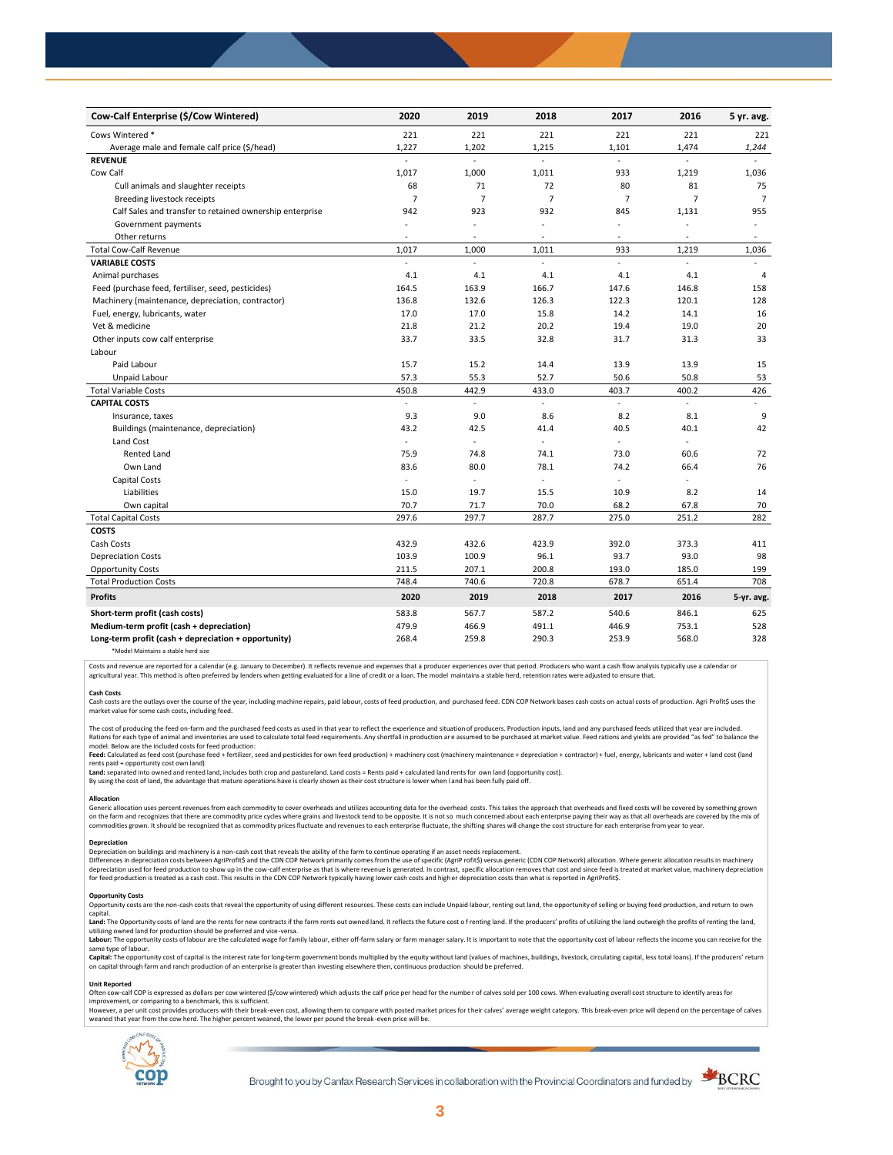| Cow-Calf Enterprise (\$/Cow Wintered)                    | 2020                     | 2019                     | 2018                     | 2017           | 2016           | 5 yr. avg.               |
|----------------------------------------------------------|--------------------------|--------------------------|--------------------------|----------------|----------------|--------------------------|
| Cows Wintered *                                          | 221                      | 221                      | 221                      | 221            | 221            | 221                      |
| Average male and female calf price (\$/head)             | 1,227                    | 1,202                    | 1,215                    | 1,101          | 1,474          | 1,244                    |
| <b>REVENUE</b>                                           |                          | L.                       | $\mathbf{r}$             |                | $\overline{a}$ |                          |
| Cow Calf                                                 | 1,017                    | 1,000                    | 1,011                    | 933            | 1,219          | 1,036                    |
| Cull animals and slaughter receipts                      | 68                       | 71                       | 72                       | 80             | 81             | 75                       |
| Breeding livestock receipts                              | $\overline{7}$           | $\overline{7}$           | $\overline{7}$           | $\overline{7}$ | $\overline{7}$ | $\overline{7}$           |
| Calf Sales and transfer to retained ownership enterprise | 942                      | 923                      | 932                      | 845            | 1,131          | 955                      |
| Government payments                                      | ä,                       | ä,                       | $\ddot{\phantom{1}}$     | $\overline{a}$ |                | $\overline{\phantom{a}}$ |
| Other returns                                            | ä,                       | $\sim$                   | $\overline{\phantom{a}}$ | $\sim$         | $\overline{a}$ | $\sim$                   |
| <b>Total Cow-Calf Revenue</b>                            | 1,017                    | 1,000                    | 1,011                    | 933            | 1,219          | 1,036                    |
| <b>VARIABLE COSTS</b>                                    | L.                       | $\overline{a}$           | ÷.                       | $\mathbb{Z}^+$ | $\sim$         |                          |
| Animal purchases                                         | 4.1                      | 4.1                      | 4.1                      | 4.1            | 4.1            | $\overline{4}$           |
| Feed (purchase feed, fertiliser, seed, pesticides)       | 164.5                    | 163.9                    | 166.7                    | 147.6          | 146.8          | 158                      |
| Machinery (maintenance, depreciation, contractor)        | 136.8                    | 132.6                    | 126.3                    | 122.3          | 120.1          | 128                      |
| Fuel, energy, lubricants, water                          | 17.0                     | 17.0                     | 15.8                     | 14.2           | 14.1           | 16                       |
| Vet & medicine                                           | 21.8                     | 21.2                     | 20.2                     | 19.4           | 19.0           | 20                       |
| Other inputs cow calf enterprise                         | 33.7                     | 33.5                     | 32.8                     | 31.7           | 31.3           | 33                       |
| Labour                                                   |                          |                          |                          |                |                |                          |
| Paid Labour                                              | 15.7                     | 15.2                     | 14.4                     | 13.9           | 13.9           | 15                       |
| Unpaid Labour                                            | 57.3                     | 55.3                     | 52.7                     | 50.6           | 50.8           | 53                       |
| <b>Total Variable Costs</b>                              | 450.8                    | 442.9                    | 433.0                    | 403.7          | 400.2          | 426                      |
| <b>CAPITAL COSTS</b>                                     | ä,                       | ä,                       | $\omega$                 | ä,             | ä,             | $\sim$                   |
| Insurance, taxes                                         | 9.3                      | 9.0                      | 8.6                      | 8.2            | 8.1            | 9                        |
| Buildings (maintenance, depreciation)                    | 43.2                     | 42.5                     | 41.4                     | 40.5           | 40.1           | 42                       |
| Land Cost                                                | ÷,                       | ä,                       | ä,                       | ÷,             |                |                          |
| <b>Rented Land</b>                                       | 75.9                     | 74.8                     | 74.1                     | 73.0           | 60.6           | 72                       |
| Own Land                                                 | 83.6                     | 80.0                     | 78.1                     | 74.2           | 66.4           | 76                       |
| Capital Costs                                            | $\overline{\phantom{a}}$ | $\overline{\phantom{a}}$ | $\overline{\phantom{a}}$ | $\sim$         | ÷,             |                          |
| Liabilities                                              | 15.0                     | 19.7                     | 15.5                     | 10.9           | 8.2            | 14                       |
| Own capital                                              | 70.7                     | 71.7                     | 70.0                     | 68.2           | 67.8           | 70                       |
| <b>Total Capital Costs</b>                               | 297.6                    | 297.7                    | 287.7                    | 275.0          | 251.2          | 282                      |
| <b>COSTS</b>                                             |                          |                          |                          |                |                |                          |
| Cash Costs                                               | 432.9                    | 432.6                    | 423.9                    | 392.0          | 373.3          | 411                      |
| <b>Depreciation Costs</b>                                | 103.9                    | 100.9                    | 96.1                     | 93.7           | 93.0           | 98                       |
| <b>Opportunity Costs</b>                                 | 211.5                    | 207.1                    | 200.8                    | 193.0          | 185.0          | 199                      |
| <b>Total Production Costs</b>                            | 748.4                    | 740.6                    | 720.8                    | 678.7          | 651.4          | 708                      |
| <b>Profits</b>                                           | 2020                     | 2019                     | 2018                     | 2017           | 2016           | 5-yr. avg.               |
| Short-term profit (cash costs)                           | 583.8                    | 567.7                    | 587.2                    | 540.6          | 846.1          | 625                      |
| Medium-term profit (cash + depreciation)                 | 479.9                    | 466.9                    | 491.1                    | 446.9          | 753.1          | 528                      |
| Long-term profit (cash + depreciation + opportunity)     | 268.4                    | 259.8                    | 290.3                    | 253.9          | 568.0          | 328                      |
| *Model Maintains a stable herd size                      |                          |                          |                          |                |                |                          |

Costs and revenue are reported for a calendar (e.g. January to December). It reflects revenue and expenses that a producer experiences over that period. Producers who want a cash flow analysis typically use a calendar or agricultural year. This method is often preferred by lenders when getting evaluated for a line of credit or a loan. The model maintains a stable herd, retention rates were adjusted to ensure that

C<mark>ash Costs</mark><br>Cash costs are the outlays over the course of the year, including machine repairs, paid labour, costs of feed production, and purchased feed. CDN COP Network bases cash costs on actual costs of production. Agr market value for some cash costs, including feed.

The cost of producing the feed on-farm and the purchased feed costs as used in that year to reflect the experience and situation of producers. Production inputs, land and any purchased feeds utilized that year are included model. Below are the included costs for feed production:

#### moder.outwhat was made used to receip would continuour.<br>**Feed:** Calculated as feed cost (purchase feed + fertilizer, seed and pesticides for own feed production) + machinery cost (machinery maintenance + depreciation + con rents paid + opportunity cost own land)

**Land:** separated into owned and rented land, includes both crop and pastureland. Land costs = Rents paid + calculated land rents for own land (opportunity cost).

By using the cost of land, the advantage that mature operations have is clearly shown as their cost structure is lower when l and has been fully paid off.

## **Allocation**

Generic allocation uses percent revenues from each commodity to cover overheads and utilizes accounting data for the overhead costs. This takes the approach that overheads and fixed costs will be covered by something grown commodities grown. It should be recognized that as commodity prices fluctuate and revenues to each enterprise fluctuate, the shifting shares will change the cost structure for each enterprise from year to year.

## **Depreciation**

Depreciation on buildings and machinery is a non-cash cost that reveals the ability of the farm to continue operating if an asset needs replacement. Differences in depreciation costs between AgriProfit\$ and the CDN COP Network primarily comes from the use of specific (AgriP rofit\$) versus generic (CDN COP Network) allocation. Where generic allocation results in machine

#### **Opportunity Costs**

Provincing COSS are the non-cash costs that reveal the opportunity of using different resources. These costs can include Unpaid labour, renting out land, the opportunity of selling or buying feed production, and return to capital.

required.<br>Land: The Opportunity costs of land are the rents for new contracts if the farm rents out owned land. It reflects the future cost of renting land. If the producers' profits of utilizing the land outweigh the prof utilizing owned land for production should be preferred and vice-versa.<br>**Labour:** The opportunity costs of labour are the calculated wage for family labour, either off-farm salary or farm manager salary. It is important to

same type of labour.

**Capita**l: The opportunity cost of capital is the interest rate for long-term government bonds multiplied by the equity without land (values of machines, buildings, livestock, circulating capital, less total loans). If the

#### **Unit Reported**

Often cow-calf COP is expressed as dollars per cow wintered (\$/cow wintered) which adjusts the calf price per head for the number of calves sold per 100 cows. When evaluating overall cost structure to identify areas for<br>im

however..export of the structure with the structure of the break-even cost. allowing them to compare with posted market prices for their calves' average weight category. This break-even price will depend on the percentage weaned that year from the cow herd. The higher percent weaned, the lower per pound the break -even price will be.



Brought to you by Canfax Research Services in collaboration with the Provincial Coordinators and funded by

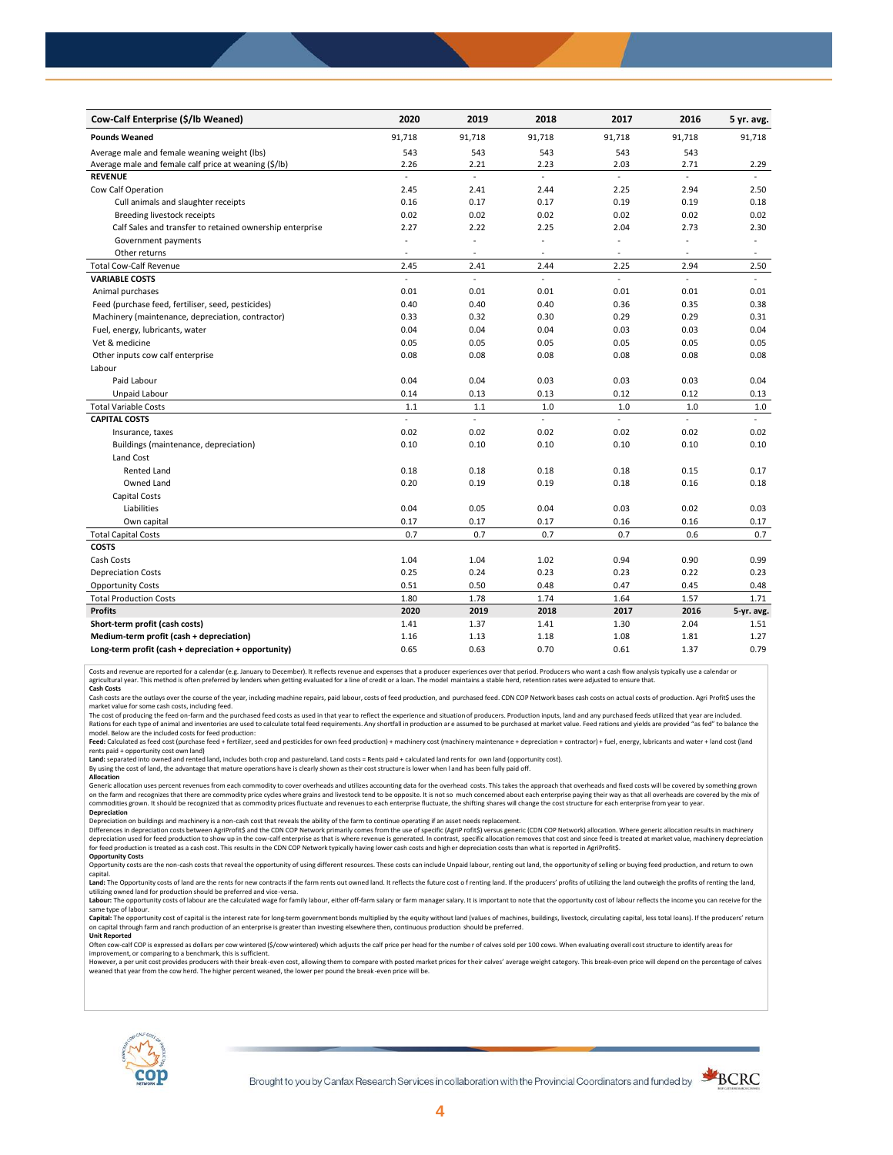| Cow-Calf Enterprise (\$/lb Weaned)                       | 2020                      | 2019                     | 2018   | 2017                     | 2016   | 5 yr. avg.               |
|----------------------------------------------------------|---------------------------|--------------------------|--------|--------------------------|--------|--------------------------|
| <b>Pounds Weaned</b>                                     | 91,718                    | 91,718                   | 91,718 | 91,718                   | 91,718 | 91,718                   |
| Average male and female weaning weight (lbs)             | 543                       | 543                      | 543    | 543                      | 543    |                          |
| Average male and female calf price at weaning (\$/lb)    | 2.26                      | 2.21                     | 2.23   | 2.03                     | 2.71   | 2.29                     |
| <b>REVENUE</b>                                           | $\overline{\phantom{a}}$  | L.                       | ä,     | L,                       | ÷.     |                          |
| Cow Calf Operation                                       | 2.45                      | 2.41                     | 2.44   | 2.25                     | 2.94   | 2.50                     |
| Cull animals and slaughter receipts                      | 0.16                      | 0.17                     | 0.17   | 0.19                     | 0.19   | 0.18                     |
| Breeding livestock receipts                              | 0.02                      | 0.02                     | 0.02   | 0.02                     | 0.02   | 0.02                     |
| Calf Sales and transfer to retained ownership enterprise | 2.27                      | 2.22                     | 2.25   | 2.04                     | 2.73   | 2.30                     |
| Government payments                                      |                           | ÷,                       | ä,     | ÷,                       |        | $\overline{\phantom{a}}$ |
| Other returns                                            | $\sim$                    | $\overline{\phantom{a}}$ | ٠      | $\overline{\phantom{a}}$ | ٠      | $\sim$                   |
| <b>Total Cow-Calf Revenue</b>                            | 2.45                      | 2.41                     | 2.44   | 2.25                     | 2.94   | 2.50                     |
| <b>VARIABLE COSTS</b>                                    | L.                        | ä,                       | L.     | L.                       | L.     | $\mathbf{r}$             |
| Animal purchases                                         | 0.01                      | 0.01                     | 0.01   | 0.01                     | 0.01   | 0.01                     |
| Feed (purchase feed, fertiliser, seed, pesticides)       | 0.40                      | 0.40                     | 0.40   | 0.36                     | 0.35   | 0.38                     |
| Machinery (maintenance, depreciation, contractor)        | 0.33                      | 0.32                     | 0.30   | 0.29                     | 0.29   | 0.31                     |
| Fuel, energy, lubricants, water                          | 0.04                      | 0.04                     | 0.04   | 0.03                     | 0.03   | 0.04                     |
| Vet & medicine                                           | 0.05                      | 0.05                     | 0.05   | 0.05                     | 0.05   | 0.05                     |
| Other inputs cow calf enterprise                         | 0.08                      | 0.08                     | 0.08   | 0.08                     | 0.08   | 0.08                     |
| Labour                                                   |                           |                          |        |                          |        |                          |
| Paid Labour                                              | 0.04                      | 0.04                     | 0.03   | 0.03                     | 0.03   | 0.04                     |
| Unpaid Labour                                            | 0.14                      | 0.13                     | 0.13   | 0.12                     | 0.12   | 0.13                     |
| <b>Total Variable Costs</b>                              | 1.1                       | 1.1                      | 1.0    | 1.0                      | 1.0    | $1.0$                    |
| <b>CAPITAL COSTS</b>                                     | $\mathbb{Z}^{\mathbb{Z}}$ | ä,                       | ä,     | ä,                       | ÷.     | ä,                       |
| Insurance, taxes                                         | 0.02                      | 0.02                     | 0.02   | 0.02                     | 0.02   | 0.02                     |
| Buildings (maintenance, depreciation)                    | 0.10                      | 0.10                     | 0.10   | 0.10                     | 0.10   | 0.10                     |
| Land Cost                                                |                           |                          |        |                          |        |                          |
| <b>Rented Land</b>                                       | 0.18                      | 0.18                     | 0.18   | 0.18                     | 0.15   | 0.17                     |
| Owned Land                                               | 0.20                      | 0.19                     | 0.19   | 0.18                     | 0.16   | 0.18                     |
| <b>Capital Costs</b>                                     |                           |                          |        |                          |        |                          |
| Liabilities                                              | 0.04                      | 0.05                     | 0.04   | 0.03                     | 0.02   | 0.03                     |
| Own capital                                              | 0.17                      | 0.17                     | 0.17   | 0.16                     | 0.16   | 0.17                     |
| <b>Total Capital Costs</b>                               | 0.7                       | 0.7                      | 0.7    | 0.7                      | 0.6    | 0.7                      |
| <b>COSTS</b>                                             |                           |                          |        |                          |        |                          |
| Cash Costs                                               | 1.04                      | 1.04                     | 1.02   | 0.94                     | 0.90   | 0.99                     |
| <b>Depreciation Costs</b>                                | 0.25                      | 0.24                     | 0.23   | 0.23                     | 0.22   | 0.23                     |
| <b>Opportunity Costs</b>                                 | 0.51                      | 0.50                     | 0.48   | 0.47                     | 0.45   | 0.48                     |
| <b>Total Production Costs</b>                            | 1.80                      | 1.78                     | 1.74   | 1.64                     | 1.57   | 1.71                     |
| <b>Profits</b>                                           | 2020                      | 2019                     | 2018   | 2017                     | 2016   | 5-yr. avg.               |
| Short-term profit (cash costs)                           | 1.41                      | 1.37                     | 1.41   | 1.30                     | 2.04   | 1.51                     |
| Medium-term profit (cash + depreciation)                 | 1.16                      | 1.13                     | 1.18   | 1.08                     | 1.81   | 1.27                     |
| Long-term profit (cash + depreciation + opportunity)     | 0.65                      | 0.63                     | 0.70   | 0.61                     | 1.37   | 0.79                     |

Costs and revenue are reported for a calendar (e.g. January to December). It reflects revenue and expenses that a producer experiences over that period. Producers who want a cash flow analysis typically use a calendar or<br>a

cash costs are the outlays over the course of the year, including machine repairs, paid labour, costs of feed production, and purchased feed. CDN COP Network bases cash costs on actual costs of production. Agri Profit\$ use market value for some cash costs, including feed.

The cost of producing the feed on-farm and the purchased feed costs as used in that year to reflect the experience and situation of producers. Production inputs, land and any purchased feeds utilized that year are included model. Below are the included costs for feed production:

Feed: Calculated as feed cost (purchase feed + fertilizer, seed and pesticides for own feed production) + machinery cost (machinery maintenance + depreciation + contractor) + fuel, energy, lubricants and water + land cost

Land: separated into owned and rented land, includes both crop and pastureland. Land costs = Rents paid + calculated land rents for own land (opportunity cost).

By using the cost of land, the advantage that mature operations have is clearly shown as their cost structure is lower when l and has been fully paid off. **Allocation**

Generic allocation uses percent revenues from each commodity to cover overheads and utilizes accounting data for the overhead costs. This takes the approach that overheads and fixed costs will be covered by something grown on the farm and recognizes that there are commodity price cycles where grains and livestock tend to be opposite. It is not so much concerned about each enterprise paying their way as that all overheads are covered by the m **Depreciation**

Depreciation on buildings and machinery is a non-cash cost that reveals the ability of the farm to continue operating if an asset needs replacement.

Differences in depreciation costs between AgriProfit\$ and the CDN COP Network primarily comes from the use of specific (AgriP rofit\$) versus generic (CDN COP Network) allocation. Where generic allocation results in machine

## **Opportunity Costs**

Opportunity costs are the non-cash costs that reveal the opportunity of using different resources. These costs can include Unpaid labour, renting out land, the opportunity of selling or buying feed production, and return t Land: The Opportunity costs of land are the rents for new contracts if the farm rents out owned land. It reflects the future cost of renting land. If the producers' profits of utilizing the land outweigh the profits of ren

utilizing owned land for production should be preferred and vice-versa.<br>**Labour:** The opportunity costs of labour are the calculated wage for family labour, either off-farm salary or farm manager salary. It is important to same type of labour.

Capital: The opportunity cost of capital is the interest rate for long-term government bonds multiplied by the equity without land (values of machines, buildings, livestock, circulating capital, less total loans). If the p on capital through farm and ranch production of an enterprise is greater than investing elsewhere then, continuous production should be preferred. **Unit Reported**

Often cow-calf COP is expressed as dollars per cow wintered (\$/cow wintered) which adjusts the calf price per head for the numbe r of calves sold per 100 cows. When evaluating overall cost structure to identify areas for

improvement, or comparing to a benchmark, this is sufficient.<br>However, a per unit cost provides producers with their break-even cost, allowing them to compare with posted market prices for their calves' average weight cate weaned that year from the cow herd. The higher percent weaned, the lower per pound the break -even price will be.



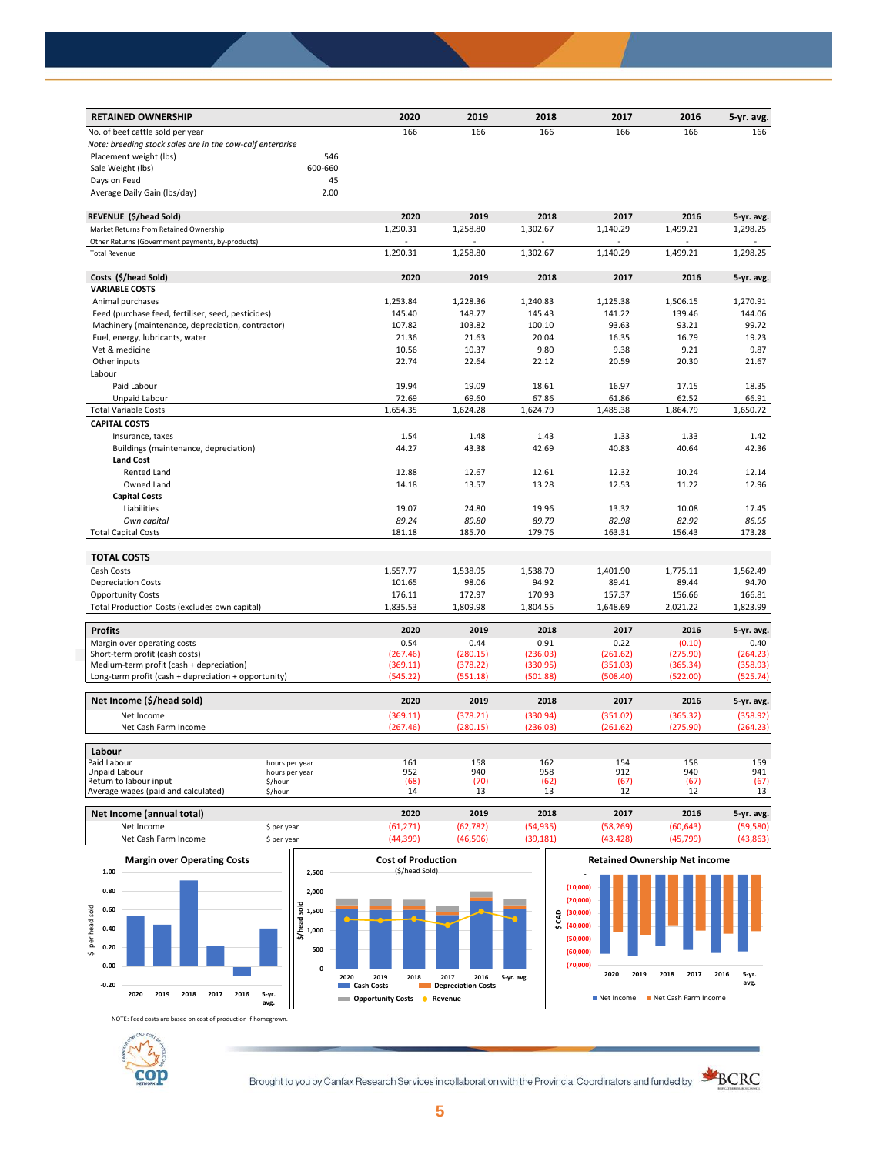| <b>RETAINED OWNERSHIP</b>                                 |         | 2020     | 2019     | 2018     | 2017     | 2016     | 5-yr. avg. |
|-----------------------------------------------------------|---------|----------|----------|----------|----------|----------|------------|
| No. of beef cattle sold per year                          |         | 166      | 166      | 166      | 166      | 166      | 166        |
| Note: breeding stock sales are in the cow-calf enterprise |         |          |          |          |          |          |            |
| Placement weight (lbs)                                    | 546     |          |          |          |          |          |            |
| Sale Weight (lbs)                                         | 600-660 |          |          |          |          |          |            |
| Days on Feed                                              | 45      |          |          |          |          |          |            |
| Average Daily Gain (Ibs/day)                              | 2.00    |          |          |          |          |          |            |
| REVENUE (\$/head Sold)                                    |         | 2020     | 2019     | 2018     | 2017     | 2016     | 5-yr. avg. |
| Market Returns from Retained Ownership                    |         | 1,290.31 | 1,258.80 | 1,302.67 | 1,140.29 | 1,499.21 | 1,298.25   |
| Other Returns (Government payments, by-products)          |         |          |          |          |          |          |            |
| <b>Total Revenue</b>                                      |         | 1,290.31 | 1,258.80 | 1,302.67 | 1,140.29 | 1,499.21 | 1,298.25   |
| Costs (\$/head Sold)                                      |         | 2020     | 2019     | 2018     | 2017     | 2016     | 5-yr. avg. |
| <b>VARIABLE COSTS</b>                                     |         |          |          |          |          |          |            |
| Animal purchases                                          |         | 1,253.84 | 1,228.36 | 1,240.83 | 1,125.38 | 1,506.15 | 1,270.91   |
| Feed (purchase feed, fertiliser, seed, pesticides)        |         | 145.40   | 148.77   | 145.43   | 141.22   | 139.46   | 144.06     |
| Machinery (maintenance, depreciation, contractor)         |         | 107.82   | 103.82   | 100.10   | 93.63    | 93.21    | 99.72      |
| Fuel, energy, lubricants, water                           |         | 21.36    | 21.63    | 20.04    | 16.35    | 16.79    | 19.23      |
| Vet & medicine                                            |         | 10.56    | 10.37    | 9.80     | 9.38     | 9.21     | 9.87       |
| Other inputs                                              |         | 22.74    | 22.64    | 22.12    | 20.59    | 20.30    | 21.67      |
| Labour                                                    |         |          |          |          |          |          |            |
| Paid Labour                                               |         | 19.94    | 19.09    | 18.61    | 16.97    | 17.15    | 18.35      |
|                                                           |         |          |          |          |          |          |            |
| Unpaid Labour                                             |         | 72.69    | 69.60    | 67.86    | 61.86    | 62.52    | 66.91      |
| <b>Total Variable Costs</b>                               |         | 1,654.35 | 1,624.28 | 1,624.79 | 1,485.38 | 1,864.79 | 1,650.72   |
| <b>CAPITAL COSTS</b>                                      |         |          |          |          |          |          |            |
| Insurance, taxes                                          |         | 1.54     | 1.48     | 1.43     | 1.33     | 1.33     | 1.42       |
| Buildings (maintenance, depreciation)                     |         | 44.27    | 43.38    | 42.69    | 40.83    | 40.64    | 42.36      |
| <b>Land Cost</b>                                          |         |          |          |          |          |          |            |
| Rented Land                                               |         | 12.88    | 12.67    | 12.61    | 12.32    | 10.24    | 12.14      |
| Owned Land                                                |         | 14.18    | 13.57    | 13.28    | 12.53    | 11.22    | 12.96      |
| <b>Capital Costs</b>                                      |         |          |          |          |          |          |            |
| Liabilities                                               |         | 19.07    | 24.80    | 19.96    | 13.32    | 10.08    | 17.45      |
| Own capital                                               |         | 89.24    | 89.80    | 89.79    | 82.98    | 82.92    | 86.95      |
| <b>Total Capital Costs</b>                                |         | 181.18   | 185.70   | 179.76   | 163.31   | 156.43   | 173.28     |
| <b>TOTAL COSTS</b>                                        |         |          |          |          |          |          |            |
| Cash Costs                                                |         | 1,557.77 | 1,538.95 | 1,538.70 | 1,401.90 | 1,775.11 | 1,562.49   |
| <b>Depreciation Costs</b>                                 |         | 101.65   | 98.06    | 94.92    | 89.41    | 89.44    | 94.70      |
| <b>Opportunity Costs</b>                                  |         | 176.11   | 172.97   | 170.93   | 157.37   | 156.66   | 166.81     |
| Total Production Costs (excludes own capital)             |         | 1,835.53 | 1,809.98 | 1,804.55 | 1,648.69 | 2,021.22 | 1,823.99   |
| <b>Profits</b>                                            |         | 2020     | 2019     | 2018     | 2017     | 2016     | 5-yr. avg. |
| Margin over operating costs                               |         | 0.54     | 0.44     | 0.91     | 0.22     | (0.10)   | 0.40       |
| Short-term profit (cash costs)                            |         | (267.46) | (280.15) | (236.03) | (261.62) | (275.90) | (264.23)   |
| Medium-term profit (cash + depreciation)                  |         | (369.11) | (378.22) | (330.95) | (351.03) | (365.34) | (358.93)   |
| Long-term profit (cash + depreciation + opportunity)      |         | (545.22) | (551.18) | (501.88) | (508.40) | (522.00) | (525.74)   |
| Net Income (\$/head sold)                                 |         | 2020     | 2019     | 2018     | 2017     | 2016     | 5-yr. avg. |
| Net Income                                                |         | (369.11) | (378.21) | (330.94) | (351.02) | (365.32) | (358.92)   |
| Net Cash Farm Income                                      |         | (267.46) | (280.15) | (236.03) | (261.62) | (275.90) | (264.23)   |
| Labour                                                    |         |          |          |          |          |          |            |
| Paid Labour<br>hours per year                             |         | 161      | 158      | 162      | 154      | 158      | 159        |
| Unpaid Labour<br>hours per year                           |         | 952      | 940      | 958      | 912      | 940      | 941        |
| Return to labour input<br>\$/hour                         |         | (68)     | (70)     | (62)     | (67)     | (67)     | (67)       |
| Average wages (paid and calculated)<br>\$/hour            |         | 14       | 13       | 13       | 12       | 12       | 13         |





NOTE: Feed costs are based on cost of production if homegrown.



Brought to you by Canfax Research Services in collaboration with the Provincial Coordinators and funded by **SKCRC** 



**avg.**